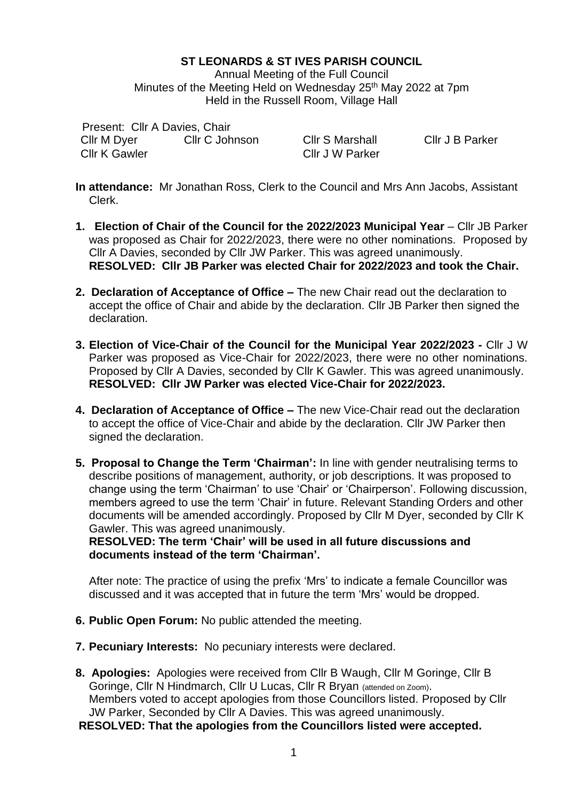# **ST LEONARDS & ST IVES PARISH COUNCIL**

Annual Meeting of the Full Council Minutes of the Meeting Held on Wednesday 25<sup>th</sup> May 2022 at 7pm Held in the Russell Room, Village Hall

Present: Cllr A Davies, Chair Cllr M Dyer Cllr K Gawler Cllr C Johnson Cllr S Marshall

Cllr J W Parker

Cllr J B Parker

- **In attendance:** Mr Jonathan Ross, Clerk to the Council and Mrs Ann Jacobs, Assistant Clerk.
- **1. Election of Chair of the Council for the 2022/2023 Municipal Year Cllr JB Parker** was proposed as Chair for 2022/2023, there were no other nominations. Proposed by Cllr A Davies, seconded by Cllr JW Parker. This was agreed unanimously. **RESOLVED: Cllr JB Parker was elected Chair for 2022/2023 and took the Chair.**
- **2. Declaration of Acceptance of Office –** The new Chair read out the declaration to accept the office of Chair and abide by the declaration. Cllr JB Parker then signed the declaration.
- **3. Election of Vice-Chair of the Council for the Municipal Year 2022/2023 -** Cllr J W Parker was proposed as Vice-Chair for 2022/2023, there were no other nominations. Proposed by Cllr A Davies, seconded by Cllr K Gawler. This was agreed unanimously. **RESOLVED: Cllr JW Parker was elected Vice-Chair for 2022/2023.**
- **4. Declaration of Acceptance of Office –** The new Vice-Chair read out the declaration to accept the office of Vice-Chair and abide by the declaration. Cllr JW Parker then signed the declaration.
- **5. Proposal to Change the Term 'Chairman':** In line with gender neutralising terms to describe positions of management, authority, or job descriptions. It was proposed to change using the term 'Chairman' to use 'Chair' or 'Chairperson'. Following discussion, members agreed to use the term 'Chair' in future. Relevant Standing Orders and other documents will be amended accordingly. Proposed by Cllr M Dyer, seconded by Cllr K Gawler. This was agreed unanimously.

**RESOLVED: The term 'Chair' will be used in all future discussions and documents instead of the term 'Chairman'.**

After note: The practice of using the prefix 'Mrs' to indicate a female Councillor was discussed and it was accepted that in future the term 'Mrs' would be dropped.

- **6. Public Open Forum:** No public attended the meeting.
- **7. Pecuniary Interests:** No pecuniary interests were declared.
- **8. Apologies:** Apologies were received from Cllr B Waugh, Cllr M Goringe, Cllr B Goringe, Cllr N Hindmarch, Cllr U Lucas, Cllr R Bryan (attended on Zoom). Members voted to accept apologies from those Councillors listed. Proposed by Cllr JW Parker, Seconded by Cllr A Davies. This was agreed unanimously.

**RESOLVED: That the apologies from the Councillors listed were accepted.**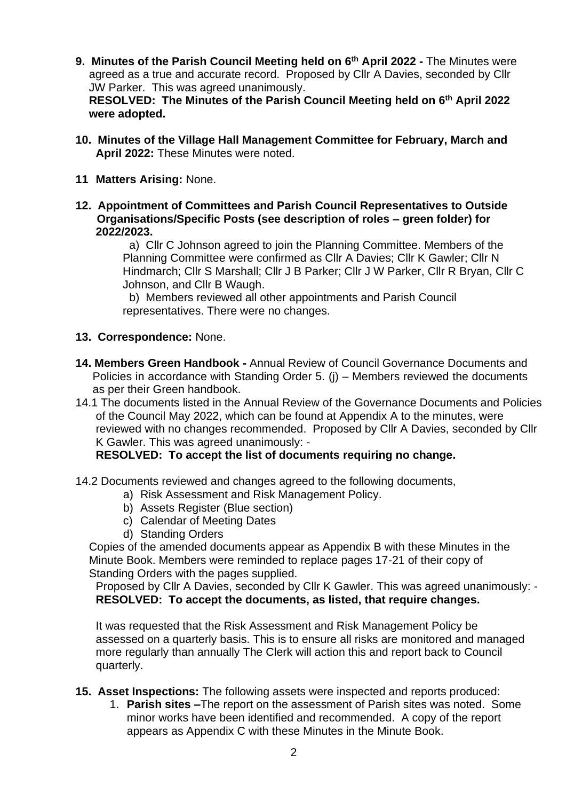**9. Minutes of the Parish Council Meeting held on 6 th April 2022 -** The Minutes were agreed as a true and accurate record. Proposed by Cllr A Davies, seconded by Cllr JW Parker. This was agreed unanimously.

**RESOLVED: The Minutes of the Parish Council Meeting held on 6 th April 2022 were adopted.** 

- **10. Minutes of the Village Hall Management Committee for February, March and April 2022:** These Minutes were noted.
- **11 Matters Arising:** None.
- **12. Appointment of Committees and Parish Council Representatives to Outside Organisations/Specific Posts (see description of roles – green folder) for 2022/2023.**

a) Cllr C Johnson agreed to join the Planning Committee. Members of the Planning Committee were confirmed as Cllr A Davies; Cllr K Gawler; Cllr N Hindmarch; Cllr S Marshall; Cllr J B Parker; Cllr J W Parker, Cllr R Bryan, Cllr C Johnson, and Cllr B Waugh.

b) Members reviewed all other appointments and Parish Council representatives. There were no changes.

### **13. Correspondence:** None.

- **14. Members Green Handbook -** Annual Review of Council Governance Documents and Policies in accordance with Standing Order 5. (j) – Members reviewed the documents as per their Green handbook.
- 14.1 The documents listed in the Annual Review of the Governance Documents and Policies of the Council May 2022, which can be found at Appendix A to the minutes, were reviewed with no changes recommended. Proposed by Cllr A Davies, seconded by Cllr K Gawler. This was agreed unanimously: -

**RESOLVED: To accept the list of documents requiring no change.**

- 14.2 Documents reviewed and changes agreed to the following documents,
	- a) Risk Assessment and Risk Management Policy.
	- b) Assets Register (Blue section)
	- c) Calendar of Meeting Dates
	- d) Standing Orders

Copies of the amended documents appear as Appendix B with these Minutes in the Minute Book. Members were reminded to replace pages 17-21 of their copy of Standing Orders with the pages supplied.

Proposed by Cllr A Davies, seconded by Cllr K Gawler. This was agreed unanimously: - **RESOLVED: To accept the documents, as listed, that require changes.**

It was requested that the Risk Assessment and Risk Management Policy be assessed on a quarterly basis. This is to ensure all risks are monitored and managed more regularly than annually The Clerk will action this and report back to Council quarterly.

- **15. Asset Inspections:** The following assets were inspected and reports produced:
	- 1. **Parish sites –**The report on the assessment of Parish sites was noted. Some minor works have been identified and recommended. A copy of the report appears as Appendix C with these Minutes in the Minute Book.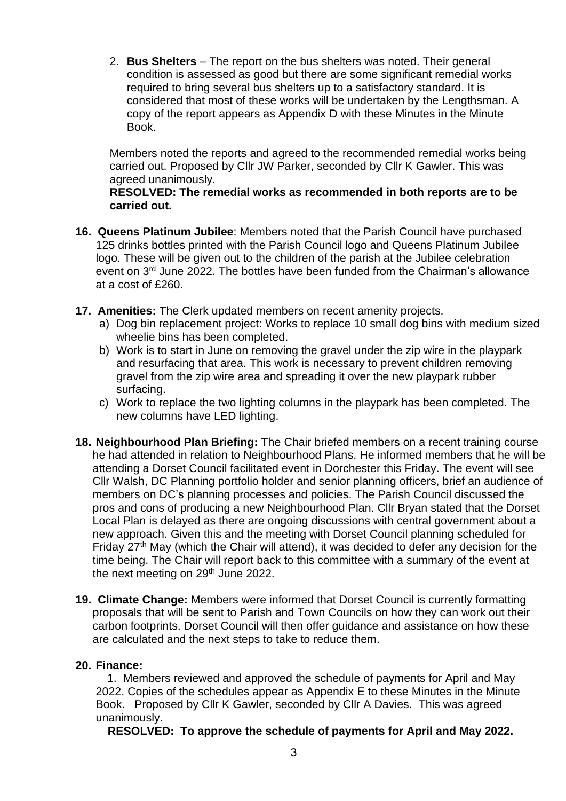2. **Bus Shelters** – The report on the bus shelters was noted. Their general condition is assessed as good but there are some significant remedial works required to bring several bus shelters up to a satisfactory standard. It is considered that most of these works will be undertaken by the Lengthsman. A copy of the report appears as Appendix D with these Minutes in the Minute Book.

Members noted the reports and agreed to the recommended remedial works being carried out. Proposed by Cllr JW Parker, seconded by Cllr K Gawler. This was agreed unanimously.

### **RESOLVED: The remedial works as recommended in both reports are to be carried out.**

- **16. Queens Platinum Jubilee**: Members noted that the Parish Council have purchased 125 drinks bottles printed with the Parish Council logo and Queens Platinum Jubilee logo. These will be given out to the children of the parish at the Jubilee celebration event on 3<sup>rd</sup> June 2022. The bottles have been funded from the Chairman's allowance at a cost of £260.
- **17. Amenities:** The Clerk updated members on recent amenity projects.
	- a) Dog bin replacement project: Works to replace 10 small dog bins with medium sized wheelie bins has been completed.
	- b) Work is to start in June on removing the gravel under the zip wire in the playpark and resurfacing that area. This work is necessary to prevent children removing gravel from the zip wire area and spreading it over the new playpark rubber surfacing.
	- c) Work to replace the two lighting columns in the playpark has been completed. The new columns have LED lighting.
- **18. Neighbourhood Plan Briefing:** The Chair briefed members on a recent training course he had attended in relation to Neighbourhood Plans. He informed members that he will be attending a Dorset Council facilitated event in Dorchester this Friday. The event will see Cllr Walsh, DC Planning portfolio holder and senior planning officers, brief an audience of members on DC's planning processes and policies. The Parish Council discussed the pros and cons of producing a new Neighbourhood Plan. Cllr Bryan stated that the Dorset Local Plan is delayed as there are ongoing discussions with central government about a new approach. Given this and the meeting with Dorset Council planning scheduled for Friday 27th May (which the Chair will attend), it was decided to defer any decision for the time being. The Chair will report back to this committee with a summary of the event at the next meeting on  $29<sup>th</sup>$  June 2022.
- **19. Climate Change:** Members were informed that Dorset Council is currently formatting proposals that will be sent to Parish and Town Councils on how they can work out their carbon footprints. Dorset Council will then offer guidance and assistance on how these are calculated and the next steps to take to reduce them.

### **20. Finance:**

 1. Members reviewed and approved the schedule of payments for April and May 2022. Copies of the schedules appear as Appendix E to these Minutes in the Minute Book. Proposed by Cllr K Gawler, seconded by Cllr A Davies. This was agreed unanimously.

**RESOLVED: To approve the schedule of payments for April and May 2022.**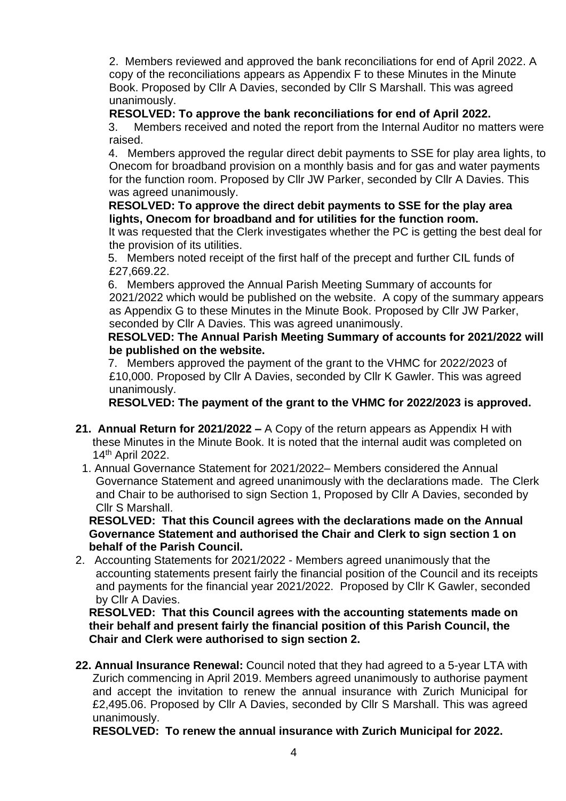2. Members reviewed and approved the bank reconciliations for end of April 2022. A copy of the reconciliations appears as Appendix F to these Minutes in the Minute Book. Proposed by Cllr A Davies, seconded by Cllr S Marshall. This was agreed unanimously.

# **RESOLVED: To approve the bank reconciliations for end of April 2022.**

3. Members received and noted the report from the Internal Auditor no matters were raised.

 4. Members approved the regular direct debit payments to SSE for play area lights, to Onecom for broadband provision on a monthly basis and for gas and water payments for the function room. Proposed by Cllr JW Parker, seconded by Cllr A Davies. This was agreed unanimously.

 **RESOLVED: To approve the direct debit payments to SSE for the play area lights, Onecom for broadband and for utilities for the function room.**

It was requested that the Clerk investigates whether the PC is getting the best deal for the provision of its utilities.

 5. Members noted receipt of the first half of the precept and further CIL funds of £27,669.22.

 6. Members approved the Annual Parish Meeting Summary of accounts for 2021/2022 which would be published on the website. A copy of the summary appears as Appendix G to these Minutes in the Minute Book. Proposed by Cllr JW Parker, seconded by Cllr A Davies. This was agreed unanimously.

### **RESOLVED: The Annual Parish Meeting Summary of accounts for 2021/2022 will be published on the website.**

 7. Members approved the payment of the grant to the VHMC for 2022/2023 of £10,000. Proposed by Cllr A Davies, seconded by Cllr K Gawler. This was agreed unanimously.

**RESOLVED: The payment of the grant to the VHMC for 2022/2023 is approved.**

- **21. Annual Return for 2021/2022 –** A Copy of the return appears as Appendix H with these Minutes in the Minute Book. It is noted that the internal audit was completed on 14th April 2022.
	- 1. Annual Governance Statement for 2021/2022– Members considered the Annual Governance Statement and agreed unanimously with the declarations made. The Clerk and Chair to be authorised to sign Section 1, Proposed by Cllr A Davies, seconded by Cllr S Marshall.

**RESOLVED: That this Council agrees with the declarations made on the Annual Governance Statement and authorised the Chair and Clerk to sign section 1 on behalf of the Parish Council.**

2. Accounting Statements for 2021/2022 - Members agreed unanimously that the accounting statements present fairly the financial position of the Council and its receipts and payments for the financial year 2021/2022. Proposed by Cllr K Gawler, seconded by Cllr A Davies.

**RESOLVED: That this Council agrees with the accounting statements made on their behalf and present fairly the financial position of this Parish Council, the Chair and Clerk were authorised to sign section 2.**

**22. Annual Insurance Renewal:** Council noted that they had agreed to a 5-year LTA with Zurich commencing in April 2019. Members agreed unanimously to authorise payment and accept the invitation to renew the annual insurance with Zurich Municipal for £2,495.06. Proposed by Cllr A Davies, seconded by Cllr S Marshall. This was agreed unanimously.

**RESOLVED: To renew the annual insurance with Zurich Municipal for 2022.**